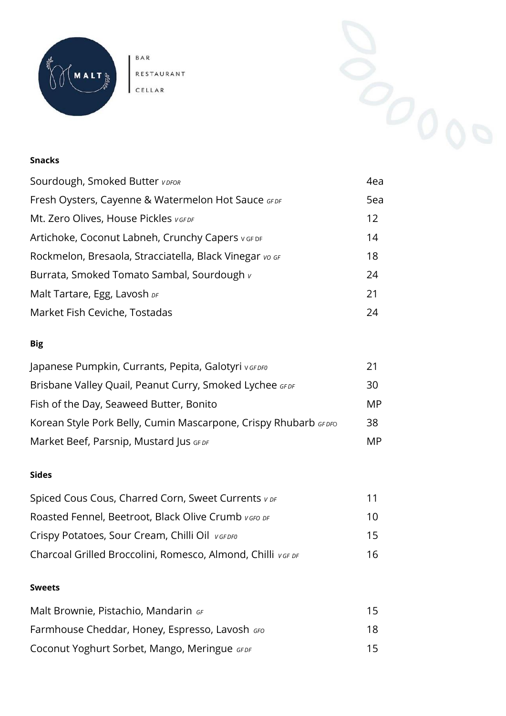

BAR RESTAURANT CELLAR

#### **Snacks**

| Sourdough, Smoked Butter VDFOR                          | 4ea |
|---------------------------------------------------------|-----|
| Fresh Oysters, Cayenne & Watermelon Hot Sauce GFDF      | 5ea |
| Mt. Zero Olives, House Pickles VGFDF                    | 12  |
| Artichoke, Coconut Labneh, Crunchy Capers vGF DF        | 14  |
| Rockmelon, Bresaola, Stracciatella, Black Vinegar vo GF | 18  |
| Burrata, Smoked Tomato Sambal, Sourdough v              | 24  |
| Malt Tartare, Egg, Lavosh DF                            | 21  |
| Market Fish Ceviche, Tostadas                           | 24  |

### **Big**

| Japanese Pumpkin, Currants, Pepita, Galotyri vGFDF0             | 21 |
|-----------------------------------------------------------------|----|
| Brisbane Valley Quail, Peanut Curry, Smoked Lychee GFDF         | 30 |
| Fish of the Day, Seaweed Butter, Bonito                         | MP |
| Korean Style Pork Belly, Cumin Mascarpone, Crispy Rhubarb GFDFO | 38 |
| Market Beef, Parsnip, Mustard Jus GFDF                          | MP |

#### **Sides**

| Spiced Cous Cous, Charred Corn, Sweet Currents v DF         | 11 |
|-------------------------------------------------------------|----|
| Roasted Fennel, Beetroot, Black Olive Crumb vGFO DF         | 10 |
| Crispy Potatoes, Sour Cream, Chilli Oil VGFDF0              | 15 |
| Charcoal Grilled Broccolini, Romesco, Almond, Chilli VGF DF | 16 |

#### **Sweets**

| Malt Brownie, Pistachio, Mandarin GF           | 15. |
|------------------------------------------------|-----|
| Farmhouse Cheddar, Honey, Espresso, Lavosh GFO | 18. |
| Coconut Yoghurt Sorbet, Mango, Meringue GFDF   | 15  |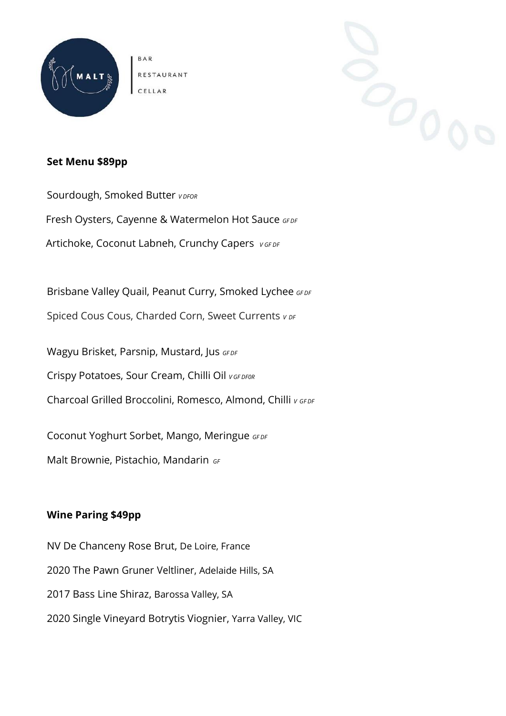

**BAR** RESTAURANT



#### **Set Menu \$89pp**

Sourdough, Smoked Butter *<sup>V</sup> DFOR* Fresh Oysters, Cayenne & Watermelon Hot Sauce GFDF Artichoke, Coconut Labneh, Crunchy Capers *V GF DF*

Brisbane Valley Quail, Peanut Curry, Smoked Lychee *GF DF* 

Spiced Cous Cous, Charded Corn, Sweet Currents *<sup>V</sup> DF*

Wagyu Brisket, Parsnip, Mustard, Jus *GF DF* 

Crispy Potatoes, Sour Cream, Chilli Oil *<sup>V</sup> GF DF0R*

Charcoal Grilled Broccolini, Romesco, Almond, Chilli *<sup>V</sup> GF DF*

Coconut Yoghurt Sorbet, Mango, Meringue *GF DF*

Malt Brownie, Pistachio, Mandarin *GF*

## **Wine Paring \$49pp**

NV De Chanceny Rose Brut, De Loire, France 2020 The Pawn Gruner Veltliner, Adelaide Hills, SA 2017 Bass Line Shiraz, Barossa Valley, SA 2020 Single Vineyard Botrytis Viognier, Yarra Valley, VIC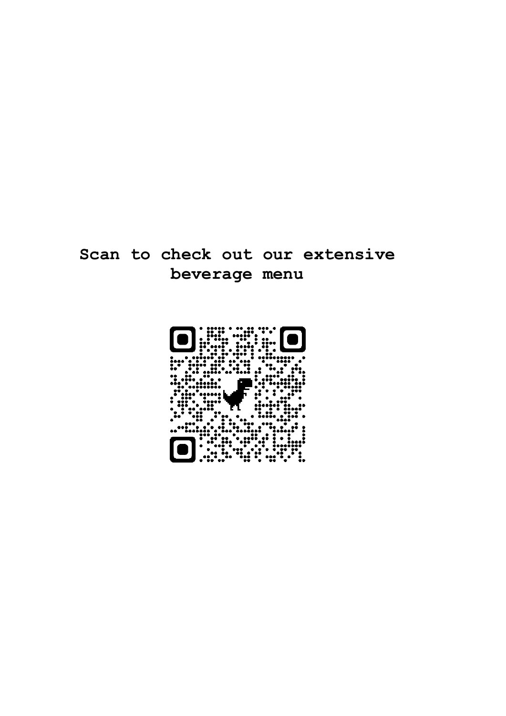# **Scan to check out our extensive beverage menu**